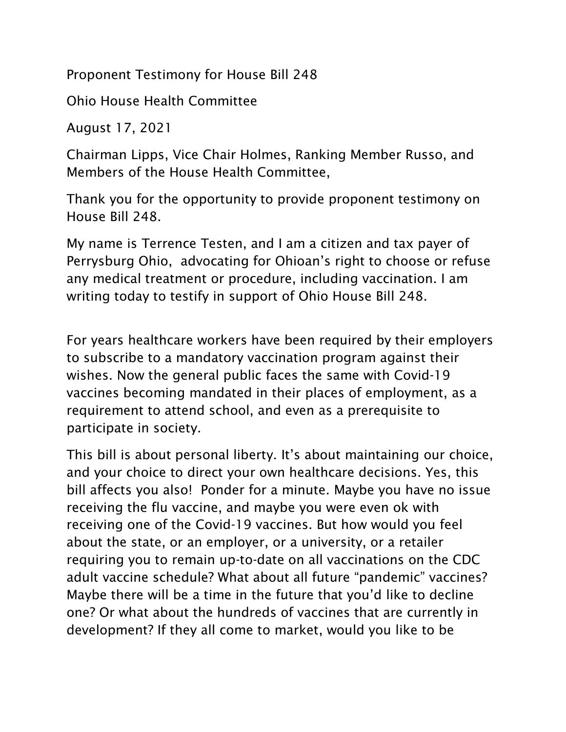Proponent Testimony for House Bill 248

Ohio House Health Committee

August 17, 2021

Chairman Lipps, Vice Chair Holmes, Ranking Member Russo, and Members of the House Health Committee,

Thank you for the opportunity to provide proponent testimony on House Bill 248.

My name is Terrence Testen, and I am a citizen and tax payer of Perrysburg Ohio, advocating for Ohioan's right to choose or refuse any medical treatment or procedure, including vaccination. I am writing today to testify in support of Ohio House Bill 248.

For years healthcare workers have been required by their employers to subscribe to a mandatory vaccination program against their wishes. Now the general public faces the same with Covid-19 vaccines becoming mandated in their places of employment, as a requirement to attend school, and even as a prerequisite to participate in society.

This bill is about personal liberty. It's about maintaining our choice, and your choice to direct your own healthcare decisions. Yes, this bill affects you also! Ponder for a minute. Maybe you have no issue receiving the flu vaccine, and maybe you were even ok with receiving one of the Covid-19 vaccines. But how would you feel about the state, or an employer, or a university, or a retailer requiring you to remain up-to-date on all vaccinations on the CDC adult vaccine schedule? What about all future "pandemic" vaccines? Maybe there will be a time in the future that you'd like to decline one? Or what about the hundreds of vaccines that are currently in development? If they all come to market, would you like to be